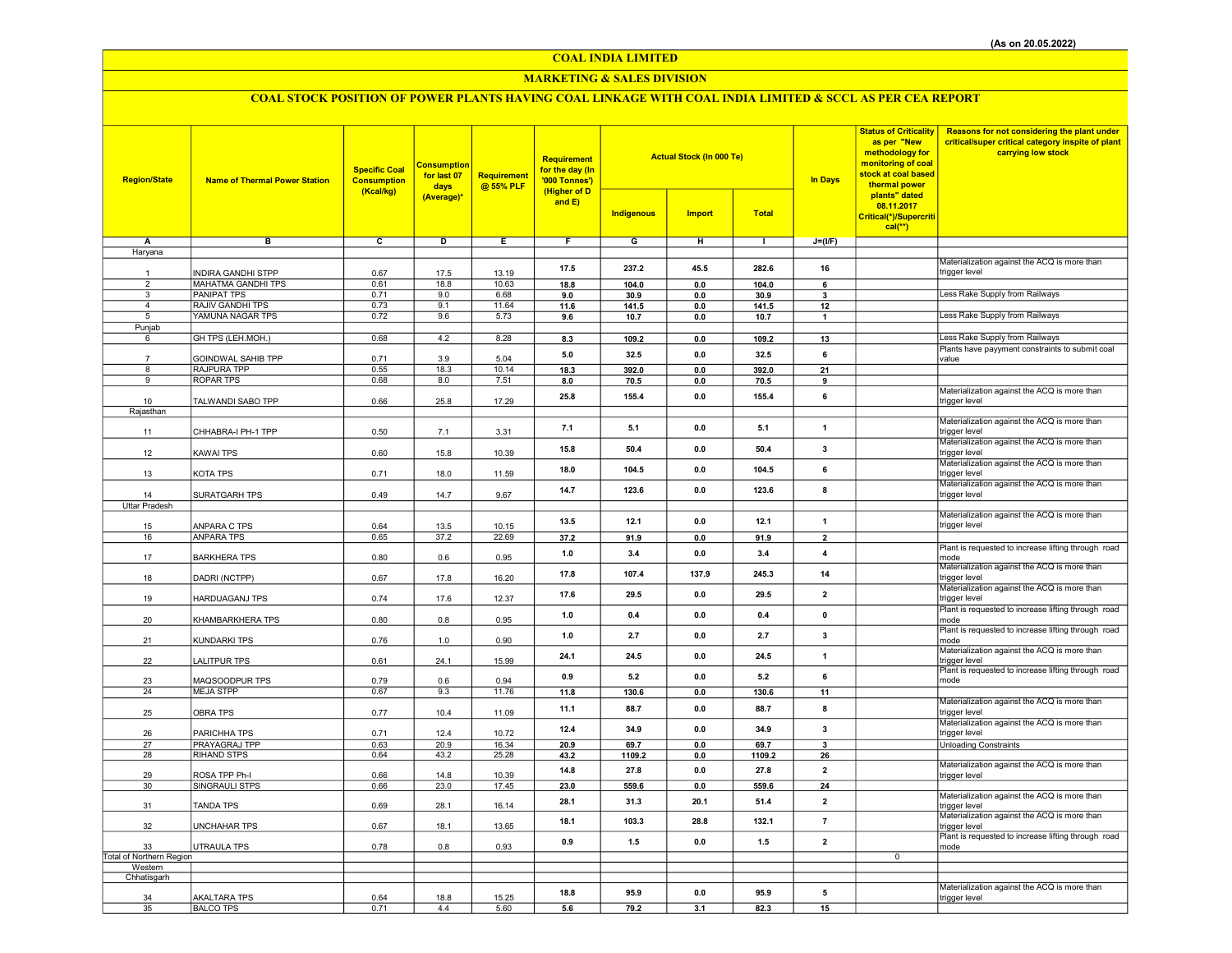## COAL INDIA LIMITED

## MARKETING & SALES DIVISION

# COAL STOCK POSITION OF POWER PLANTS HAVING COAL LINKAGE WITH COAL INDIA LIMITED & SCCL AS PER CEA REPORT

| <b>Region/State</b>            | <b>Name of Thermal Power Station</b>            | <b>Actual Stock (In 000 Te)</b><br>Requirement<br><b>Consumption</b><br><b>Specific Coal</b><br>for the day (In<br>for last 07<br><b>Requirement</b><br><b>Consumption</b><br>'000 Tonnes')<br>@ 55% PLF<br>days<br>(Kcal/kg)<br>(Higher of D<br>(Average)*<br>and E)<br><b>Indigenous</b> |             |               |             | <b>Import</b> | <b>Total</b>          | <b>In Days</b> | <b>Status of Criticality</b><br>as per "New<br>methodology for<br>monitoring of coal<br>stock at coal based<br>thermal power<br>plants" dated<br>08.11.2017 | Reasons for not considering the plant under<br>critical/super critical category inspite of plant<br>carrying low stock |                                                                      |
|--------------------------------|-------------------------------------------------|--------------------------------------------------------------------------------------------------------------------------------------------------------------------------------------------------------------------------------------------------------------------------------------------|-------------|---------------|-------------|---------------|-----------------------|----------------|-------------------------------------------------------------------------------------------------------------------------------------------------------------|------------------------------------------------------------------------------------------------------------------------|----------------------------------------------------------------------|
|                                |                                                 |                                                                                                                                                                                                                                                                                            |             |               |             |               |                       |                |                                                                                                                                                             | Critical(*)/Supercriti<br>$cal(**)$                                                                                    |                                                                      |
| Α                              | в                                               | c                                                                                                                                                                                                                                                                                          | D           | Ε             | F           | G             | н                     | $\mathbf{L}$   | $J=(I/F)$                                                                                                                                                   |                                                                                                                        |                                                                      |
| Haryana                        |                                                 |                                                                                                                                                                                                                                                                                            |             |               |             |               |                       |                |                                                                                                                                                             |                                                                                                                        |                                                                      |
|                                |                                                 |                                                                                                                                                                                                                                                                                            |             |               | 17.5        | 237.2         | 45.5                  | 282.6          | 16                                                                                                                                                          |                                                                                                                        | Materialization against the ACQ is more than                         |
| $\mathbf{1}$<br>$\overline{2}$ | <b>INDIRA GANDHI STPP</b>                       | 0.67                                                                                                                                                                                                                                                                                       | 17.5        | 13.19         |             |               |                       |                |                                                                                                                                                             |                                                                                                                        | trigger level                                                        |
| $\overline{3}$                 | <b>MAHATMA GANDHI TPS</b><br><b>PANIPAT TPS</b> | 0.61<br>0.71                                                                                                                                                                                                                                                                               | 18.8<br>9.0 | 10.63<br>6.68 | 18.8<br>9.0 | 104.0<br>30.9 | $\mathbf{0.0}$<br>0.0 | 104.0<br>30.9  | 6<br>$\overline{\mathbf{3}}$                                                                                                                                |                                                                                                                        | Less Rake Supply from Railways                                       |
| $\overline{4}$                 | RAJIV GANDHI TPS                                | 0.73                                                                                                                                                                                                                                                                                       | 9.1         | 11.64         | 11.6        | 141.5         | 0.0                   | 141.5          | 12                                                                                                                                                          |                                                                                                                        |                                                                      |
| 5                              | YAMUNA NAGAR TPS                                | 0.72                                                                                                                                                                                                                                                                                       | 9.6         | 5.73          | 9.6         | 10.7          | 0.0                   | 10.7           | $\mathbf{1}$                                                                                                                                                |                                                                                                                        | Less Rake Supply from Railways                                       |
| Punjab                         |                                                 |                                                                                                                                                                                                                                                                                            |             |               |             |               |                       |                |                                                                                                                                                             |                                                                                                                        |                                                                      |
| 6                              | GH TPS (LEH.MOH.)                               | 0.68                                                                                                                                                                                                                                                                                       | 4.2         | 8.28          | 8.3         | 109.2         | $\mathbf{0.0}$        | 109.2          | 13                                                                                                                                                          |                                                                                                                        | Less Rake Supply from Railways                                       |
|                                |                                                 |                                                                                                                                                                                                                                                                                            |             |               | 5.0         | 32.5          | 0.0                   | 32.5           | 6                                                                                                                                                           |                                                                                                                        | Plants have payyment constraints to submit coal                      |
| 8                              | GOINDWAL SAHIB TPP<br>RAJPURA TPP               | 0.71<br>0.55                                                                                                                                                                                                                                                                               | 3.9<br>18.3 | 5.04<br>10.14 | 18.3        | 392.0         | 0.0                   | 392.0          | 21                                                                                                                                                          |                                                                                                                        | value                                                                |
| 9                              | <b>ROPAR TPS</b>                                | 0.68                                                                                                                                                                                                                                                                                       | 8.0         | 7.51          | 8.0         | 70.5          | 0.0                   | 70.5           | 9                                                                                                                                                           |                                                                                                                        |                                                                      |
|                                |                                                 |                                                                                                                                                                                                                                                                                            |             |               |             |               |                       |                |                                                                                                                                                             |                                                                                                                        | Materialization against the ACQ is more than                         |
| 10                             | TALWANDI SABO TPP                               | 0.66                                                                                                                                                                                                                                                                                       | 25.8        | 17.29         | 25.8        | 155.4         | 0.0                   | 155.4          | 6                                                                                                                                                           |                                                                                                                        | trigger level                                                        |
| Rajasthan                      |                                                 |                                                                                                                                                                                                                                                                                            |             |               |             |               |                       |                |                                                                                                                                                             |                                                                                                                        |                                                                      |
| 11                             | CHHABRA-I PH-1 TPP                              | 0.50                                                                                                                                                                                                                                                                                       | 7.1         | 3.31          | 7.1         | 5.1           | 0.0                   | 5.1            | 1                                                                                                                                                           |                                                                                                                        | Materialization against the ACQ is more than<br>trigger level        |
| 12                             | <b>KAWAI TPS</b>                                | 0.60                                                                                                                                                                                                                                                                                       | 15.8        | 10.39         | 15.8        | 50.4          | 0.0                   | 50.4           | 3                                                                                                                                                           |                                                                                                                        | Materialization against the ACQ is more than<br>trigger level        |
| 13                             | KOTA TPS                                        | 0.71                                                                                                                                                                                                                                                                                       | 18.0        | 11.59         | 18.0        | 104.5         | 0.0                   | 104.5          | 6                                                                                                                                                           |                                                                                                                        | Materialization against the ACQ is more than<br>trigger level        |
|                                |                                                 |                                                                                                                                                                                                                                                                                            |             |               | 14.7        | 123.6         | 0.0                   | 123.6          | 8                                                                                                                                                           |                                                                                                                        | Materialization against the ACQ is more than                         |
| 14                             | SURATGARH TPS                                   | 0.49                                                                                                                                                                                                                                                                                       | 14.7        | 9.67          |             |               |                       |                |                                                                                                                                                             |                                                                                                                        | trigger level                                                        |
| <b>Uttar Pradesh</b>           |                                                 |                                                                                                                                                                                                                                                                                            |             |               |             |               |                       |                |                                                                                                                                                             |                                                                                                                        | Materialization against the ACQ is more than                         |
| 15                             | ANPARA C TPS                                    | 0.64                                                                                                                                                                                                                                                                                       | 13.5        | 10.15         | 13.5        | 12.1          | 0.0                   | 12.1           | $\mathbf{1}$                                                                                                                                                |                                                                                                                        | trigger level                                                        |
| 16                             | <b>ANPARA TPS</b>                               | 0.65                                                                                                                                                                                                                                                                                       | 37.2        | 22.69         | 37.2        | 91.9          | $0.0\,$               | 91.9           | $\overline{2}$                                                                                                                                              |                                                                                                                        |                                                                      |
| 17                             | <b>BARKHERA TPS</b>                             | 0.80                                                                                                                                                                                                                                                                                       | 0.6         | 0.95          | 1.0         | 3.4           | 0.0                   | 3.4            | $\overline{\mathbf{4}}$                                                                                                                                     |                                                                                                                        | Plant is requested to increase lifting through road<br>mode          |
| 18                             | DADRI (NCTPP)                                   | 0.67                                                                                                                                                                                                                                                                                       | 17.8        | 16.20         | 17.8        | 107.4         | 137.9                 | 245.3          | 14                                                                                                                                                          |                                                                                                                        | Materialization against the ACQ is more than<br>trigger level        |
| 19                             | <b>HARDUAGANJ TPS</b>                           | 0.74                                                                                                                                                                                                                                                                                       | 17.6        | 12.37         | 17.6        | 29.5          | 0.0                   | 29.5           | $\overline{2}$                                                                                                                                              |                                                                                                                        | Materialization against the ACQ is more than<br>trigger level        |
| 20                             | KHAMBARKHERA TPS                                | 0.80                                                                                                                                                                                                                                                                                       | 0.8         | 0.95          | 1.0         | 0.4           | 0.0                   | 0.4            | $\pmb{0}$                                                                                                                                                   |                                                                                                                        | Plant is requested to increase lifting through road<br>mode          |
| 21                             | KUNDARKI TPS                                    | 0.76                                                                                                                                                                                                                                                                                       | 1.0         | 0.90          | 1.0         | 2.7           | 0.0                   | 2.7            | $\mathbf{3}$                                                                                                                                                |                                                                                                                        | Plant is requested to increase lifting through road<br>mode          |
|                                |                                                 |                                                                                                                                                                                                                                                                                            |             |               | 24.1        | 24.5          | 0.0                   | 24.5           | 1                                                                                                                                                           |                                                                                                                        | Materialization against the ACQ is more than                         |
| 22                             | <b>LALITPUR TPS</b>                             | 0.61                                                                                                                                                                                                                                                                                       | 24.1        | 15.99         |             |               |                       |                |                                                                                                                                                             |                                                                                                                        | trigger level<br>Plant is requested to increase lifting through road |
| 23                             | MAQSOODPUR TPS                                  | 0.79                                                                                                                                                                                                                                                                                       | 0.6         | 0.94          | 0.9         | 5.2           | 0.0                   | 5.2            | 6                                                                                                                                                           |                                                                                                                        | mode                                                                 |
| 24                             | <b>MEJA STPP</b>                                | 0.67                                                                                                                                                                                                                                                                                       | 9.3         | 11.76         | 11.8        | 130.6         | 0.0                   | 130.6          | 11                                                                                                                                                          |                                                                                                                        |                                                                      |
| 25                             | <b>OBRA TPS</b>                                 | 0.77                                                                                                                                                                                                                                                                                       | 10.4        | 11.09         | 11.1        | 88.7          | 0.0                   | 88.7           | 8                                                                                                                                                           |                                                                                                                        | Materialization against the ACQ is more than<br>trigger level        |
| 26                             | PARICHHA TPS                                    | 0.71                                                                                                                                                                                                                                                                                       | 12.4        | 10.72         | 12.4        | 34.9          | 0.0                   | 34.9           | $\mathbf{3}$                                                                                                                                                |                                                                                                                        | Materialization against the ACQ is more than<br>trigger level        |
| 27                             | PRAYAGRAJ TPP                                   | 0.63                                                                                                                                                                                                                                                                                       | 20.9        | 16.34         | 20.9        | 69.7          | 0.0                   | 69.7           | 3                                                                                                                                                           |                                                                                                                        | <b>Unloading Constraints</b>                                         |
| 28                             | RIHAND STPS                                     | 0.64                                                                                                                                                                                                                                                                                       | 43.2        | 25.28         | 43.2        | 1109.2        | 0.0                   | 1109.2         | 26                                                                                                                                                          |                                                                                                                        |                                                                      |
| 29                             | ROSA TPP Ph-I                                   | 0.66                                                                                                                                                                                                                                                                                       | 14.8        | 10.39         | 14.8        | 27.8          | 0.0                   | 27.8           | $\overline{\mathbf{2}}$                                                                                                                                     |                                                                                                                        | Materialization against the ACQ is more than<br>trigger level        |
| 30                             | SINGRAULI STPS                                  | 0.66                                                                                                                                                                                                                                                                                       | 23.0        | 17.45         | 23.0        | 559.6         | 0.0                   | 559.6          | 24                                                                                                                                                          |                                                                                                                        |                                                                      |
|                                |                                                 |                                                                                                                                                                                                                                                                                            |             |               | 28.1        | 31.3          | 20.1                  | 51.4           | $\overline{2}$                                                                                                                                              |                                                                                                                        | Materialization against the ACQ is more than                         |
| 31                             | <b>TANDA TPS</b>                                | 0.69                                                                                                                                                                                                                                                                                       | 28.1        | 16.14         |             |               |                       |                |                                                                                                                                                             |                                                                                                                        | trigger level                                                        |
| 32                             | <b>UNCHAHAR TPS</b>                             | 0.67                                                                                                                                                                                                                                                                                       | 18.1        | 13.65         | 18.1        | 103.3         | 28.8                  | 132.1          | $\overline{7}$                                                                                                                                              |                                                                                                                        | Materialization against the ACQ is more than<br>trigger level        |
| 33                             | <b>UTRAULA TPS</b>                              | 0.78                                                                                                                                                                                                                                                                                       | 0.8         | 0.93          | 0.9         | $1.5$         | 0.0                   | 1.5            | $\overline{2}$                                                                                                                                              |                                                                                                                        | Plant is requested to increase lifting through road<br>mode          |
| Total of Northern Region       |                                                 |                                                                                                                                                                                                                                                                                            |             |               |             |               |                       |                |                                                                                                                                                             | $\overline{0}$                                                                                                         |                                                                      |
| Western<br>Chhatisgarh         |                                                 |                                                                                                                                                                                                                                                                                            |             |               |             |               |                       |                |                                                                                                                                                             |                                                                                                                        |                                                                      |
|                                |                                                 |                                                                                                                                                                                                                                                                                            |             |               |             |               |                       |                |                                                                                                                                                             |                                                                                                                        | Materialization against the ACQ is more than                         |
| 34                             | <b>AKALTARA TPS</b>                             | 0.64                                                                                                                                                                                                                                                                                       | 18.8        | 15.25         | 18.8        | 95.9          | 0.0                   | 95.9           | 5                                                                                                                                                           |                                                                                                                        | trigger level                                                        |
| 35                             | <b>BALCO TPS</b>                                | 0.71                                                                                                                                                                                                                                                                                       | 4.4         | 5.60          | 5.6         | 79.2          | 3.1                   | 82.3           | 15                                                                                                                                                          |                                                                                                                        |                                                                      |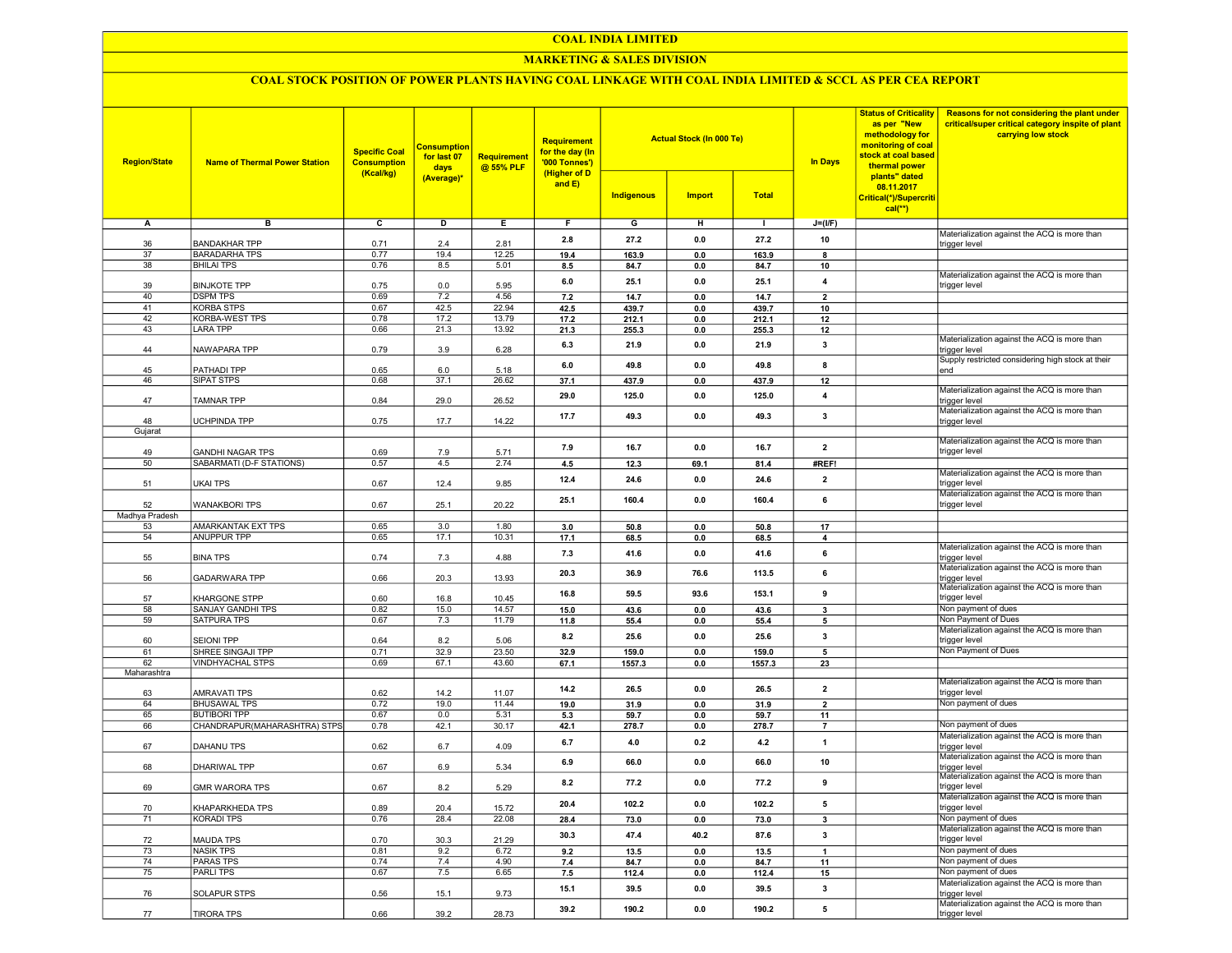#### COAL INDIA LIMITED

## MARKETING & SALES DIVISION

## COAL STOCK POSITION OF POWER PLANTS HAVING COAL LINKAGE WITH COAL INDIA LIMITED & SCCL AS PER CEA REPORT

| <b>Region/State</b> | <b>Name of Thermal Power Station</b>                | <b>Specific Coal</b><br><b>Consumption</b><br>(Kcal/kg) | <b>Consumption</b><br>for last 07<br>days<br>(Average)* | <b>Requirement</b><br>@ 55% PLF | <b>Requirement</b><br>for the day (In<br>'000 Tonnes')<br>(Higher of D<br>and $E$ ) | <b>Indigenous</b> | <b>Actual Stock (In 000 Te)</b><br><b>Import</b> | <b>Total</b>   | <b>In Days</b>          | <b>Status of Criticality</b><br>as per "New<br>methodology for<br>monitoring of coal<br>stock at coal based<br>thermal power<br>plants" dated<br>08.11.2017<br>Critical(*)/Supercriti<br>$cal$ <sup>**</sup> ) | Reasons for not considering the plant under<br>critical/super critical category inspite of plant<br>carrying low stock |
|---------------------|-----------------------------------------------------|---------------------------------------------------------|---------------------------------------------------------|---------------------------------|-------------------------------------------------------------------------------------|-------------------|--------------------------------------------------|----------------|-------------------------|----------------------------------------------------------------------------------------------------------------------------------------------------------------------------------------------------------------|------------------------------------------------------------------------------------------------------------------------|
| A                   | в                                                   | $\overline{c}$                                          | D                                                       | Е.                              | F.                                                                                  | G                 | н                                                | т.             | $J=(I/F)$               |                                                                                                                                                                                                                |                                                                                                                        |
|                     |                                                     |                                                         |                                                         |                                 | 2.8                                                                                 | 27.2              | 0.0                                              | 27.2           | 10                      |                                                                                                                                                                                                                | Materialization against the ACQ is more than                                                                           |
| 36<br>37            | <b>BANDAKHAR TPP</b><br><b>BARADARHA TPS</b>        | 0.71<br>0.77                                            | 2.4<br>19.4                                             | 2.81<br>12.25                   | 19.4                                                                                | 163.9             | 0.0                                              | 163.9          | 8                       |                                                                                                                                                                                                                | trigger level                                                                                                          |
| 38                  | <b>BHILAI TPS</b>                                   | 0.76                                                    | 8.5                                                     | 5.01                            | 8.5                                                                                 | 84.7              | 0.0                                              | 84.7           | 10                      |                                                                                                                                                                                                                |                                                                                                                        |
|                     |                                                     |                                                         |                                                         |                                 |                                                                                     |                   |                                                  |                |                         |                                                                                                                                                                                                                | Materialization against the ACQ is more than                                                                           |
| 39                  | <b>BINJKOTE TPP</b>                                 | 0.75                                                    | 0.0                                                     | 5.95                            | $6.0\,$                                                                             | 25.1              | 0.0                                              | 25.1           | $\overline{\mathbf{4}}$ |                                                                                                                                                                                                                | trigger level                                                                                                          |
| 40                  | <b>DSPM TPS</b>                                     | 0.69                                                    | 7.2                                                     | 4.56                            | 7.2                                                                                 | 14.7              | 0.0                                              | 14.7           | $\overline{2}$          |                                                                                                                                                                                                                |                                                                                                                        |
| 41                  | <b>KORBA STPS</b>                                   | 0.67                                                    | 42.5                                                    | 22.94                           | 42.5                                                                                | 439.7             | 0.0                                              | 439.7          | 10                      |                                                                                                                                                                                                                |                                                                                                                        |
| 42<br>43            | KORBA-WEST TPS<br>LARA TPP                          | 0.78<br>0.66                                            | 17.2<br>21.3                                            | 13.79<br>13.92                  | 17.2<br>21.3                                                                        | 212.1<br>255.3    | 0.0<br>0.0                                       | 212.1<br>255.3 | 12<br>12                |                                                                                                                                                                                                                |                                                                                                                        |
|                     |                                                     |                                                         |                                                         |                                 |                                                                                     |                   |                                                  |                |                         |                                                                                                                                                                                                                | Materialization against the ACQ is more than                                                                           |
| 44                  | NAWAPARA TPP                                        | 0.79                                                    | 3.9                                                     | 6.28                            | 6.3                                                                                 | 21.9              | 0.0                                              | 21.9           | 3                       |                                                                                                                                                                                                                | trigger level                                                                                                          |
|                     |                                                     |                                                         |                                                         |                                 | 6.0                                                                                 | 49.8              | 0.0                                              | 49.8           | 8                       |                                                                                                                                                                                                                | Supply restricted considering high stock at their                                                                      |
| 45                  | PATHADI TPP                                         | 0.65                                                    | 6.0                                                     | 5.18                            |                                                                                     |                   |                                                  |                |                         |                                                                                                                                                                                                                | end                                                                                                                    |
| 46                  | SIPAT STPS                                          | 0.68                                                    | 37.1                                                    | 26.62                           | 37.1                                                                                | 437.9             | 0.0                                              | 437.9          | 12                      |                                                                                                                                                                                                                | Materialization against the ACQ is more than                                                                           |
| 47                  | TAMNAR TPP                                          | 0.84                                                    | 29.0                                                    | 26.52                           | 29.0                                                                                | 125.0             | 0.0                                              | 125.0          | 4                       |                                                                                                                                                                                                                | trigger level                                                                                                          |
|                     |                                                     |                                                         |                                                         |                                 |                                                                                     |                   |                                                  |                |                         |                                                                                                                                                                                                                | Materialization against the ACQ is more than                                                                           |
| 48                  | UCHPINDA TPP                                        | 0.75                                                    | 17.7                                                    | 14.22                           | 17.7                                                                                | 49.3              | 0.0                                              | 49.3           | $\overline{\mathbf{3}}$ |                                                                                                                                                                                                                | trigger level                                                                                                          |
| Gujarat             |                                                     |                                                         |                                                         |                                 |                                                                                     |                   |                                                  |                |                         |                                                                                                                                                                                                                |                                                                                                                        |
|                     |                                                     |                                                         |                                                         |                                 | 7.9                                                                                 | 16.7              | 0.0                                              | 16.7           | $\overline{2}$          |                                                                                                                                                                                                                | Materialization against the ACQ is more than                                                                           |
| 49<br>50            | <b>GANDHI NAGAR TPS</b><br>SABARMATI (D-F STATIONS) | 0.69<br>0.57                                            | 7.9<br>4.5                                              | 5.71<br>2.74                    |                                                                                     | 12.3              | 69.1                                             | 81.4           | #REF!                   |                                                                                                                                                                                                                | trigger level                                                                                                          |
|                     |                                                     |                                                         |                                                         |                                 | 4.5                                                                                 |                   |                                                  |                |                         |                                                                                                                                                                                                                | Materialization against the ACQ is more than                                                                           |
| 51                  | UKAI TPS                                            | 0.67                                                    | 12.4                                                    | 9.85                            | 12.4                                                                                | 24.6              | 0.0                                              | 24.6           | $\overline{2}$          |                                                                                                                                                                                                                | trigger level                                                                                                          |
|                     |                                                     |                                                         |                                                         |                                 |                                                                                     |                   |                                                  |                |                         |                                                                                                                                                                                                                | Materialization against the ACQ is more than                                                                           |
| 52                  | <b>WANAKBORI TPS</b>                                | 0.67                                                    | 25.1                                                    | 20.22                           | 25.1                                                                                | 160.4             | 0.0                                              | 160.4          | 6                       |                                                                                                                                                                                                                | trigger level                                                                                                          |
| Madhya Pradesh      |                                                     |                                                         |                                                         |                                 |                                                                                     |                   |                                                  |                |                         |                                                                                                                                                                                                                |                                                                                                                        |
| 53                  | AMARKANTAK EXT TPS                                  | 0.65                                                    | 3.0                                                     | 1.80                            | 3.0                                                                                 | 50.8              | 0.0                                              | 50.8           | 17                      |                                                                                                                                                                                                                |                                                                                                                        |
| 54                  | ANUPPUR TPP                                         | 0.65                                                    | 17.1                                                    | 10.31                           | 17.1                                                                                | 68.5              | 0.0                                              | 68.5           | $\mathbf{A}$            |                                                                                                                                                                                                                |                                                                                                                        |
| 55                  | <b>BINA TPS</b>                                     | 0.74                                                    | 7.3                                                     | 4.88                            | 7.3                                                                                 | 41.6              | 0.0                                              | 41.6           | 6                       |                                                                                                                                                                                                                | Materialization against the ACQ is more than<br>trigger level                                                          |
|                     |                                                     |                                                         |                                                         |                                 |                                                                                     |                   |                                                  |                |                         |                                                                                                                                                                                                                | Materialization against the ACQ is more than                                                                           |
| 56                  | GADARWARA TPP                                       | 0.66                                                    | 20.3                                                    | 13.93                           | 20.3                                                                                | 36.9              | 76.6                                             | 113.5          | 6                       |                                                                                                                                                                                                                | trigger level                                                                                                          |
|                     |                                                     |                                                         |                                                         |                                 | 16.8                                                                                | 59.5              | 93.6                                             | 153.1          | 9                       |                                                                                                                                                                                                                | Materialization against the ACQ is more than                                                                           |
| 57                  | KHARGONE STPP                                       | 0.60                                                    | 16.8                                                    | 10.45                           |                                                                                     |                   |                                                  |                |                         |                                                                                                                                                                                                                | trigger level                                                                                                          |
| 58<br>59            | SANJAY GANDHI TPS<br><b>SATPURA TPS</b>             | 0.82<br>0.67                                            | 15.0<br>7.3                                             | 14.57<br>11.79                  | 15.0                                                                                | 43.6              | 0.0                                              | 43.6           | 3                       |                                                                                                                                                                                                                | Non payment of dues<br>Non Payment of Dues                                                                             |
|                     |                                                     |                                                         |                                                         |                                 | 11.8                                                                                | 55.4              | 0.0                                              | 55.4           | 5                       |                                                                                                                                                                                                                | Materialization against the ACQ is more than                                                                           |
| 60                  | <b>SEIONI TPP</b>                                   | 0.64                                                    | 8.2                                                     | 5.06                            | 8.2                                                                                 | 25.6              | 0.0                                              | 25.6           | $\overline{\mathbf{3}}$ |                                                                                                                                                                                                                | trigger level                                                                                                          |
| 61                  | SHREE SINGAJI TPP                                   | 0.71                                                    | 32.9                                                    | 23.50                           | 32.9                                                                                | 159.0             | 0.0                                              | 159.0          | 5                       |                                                                                                                                                                                                                | Non Payment of Dues                                                                                                    |
| 62                  | VINDHYACHAL STPS                                    | 0.69                                                    | 67.1                                                    | 43.60                           | 67.1                                                                                | 1557.3            | 0.0                                              | 1557.3         | 23                      |                                                                                                                                                                                                                |                                                                                                                        |
| Maharashtra         |                                                     |                                                         |                                                         |                                 |                                                                                     |                   |                                                  |                |                         |                                                                                                                                                                                                                |                                                                                                                        |
|                     |                                                     |                                                         |                                                         |                                 | 14.2                                                                                | 26.5              | 0.0                                              | 26.5           | $\overline{2}$          |                                                                                                                                                                                                                | Materialization against the ACQ is more than                                                                           |
| 63<br>64            | AMRAVATI TPS<br><b>BHUSAWAL TPS</b>                 | 0.62<br>0.72                                            | 14.2<br>19.0                                            | 11.07<br>11.44                  | 19.0                                                                                | 31.9              | 0.0                                              | 31.9           | $\overline{2}$          |                                                                                                                                                                                                                | trigger level<br>Non payment of dues                                                                                   |
| 65                  | <b>BUTIBORI TPP</b>                                 | 0.67                                                    | 0.0                                                     | 5.31                            | 5.3                                                                                 | 59.7              | 0.0                                              | 59.7           | 11                      |                                                                                                                                                                                                                |                                                                                                                        |
| 66                  | CHANDRAPUR(MAHARASHTRA) STPS                        | 0.78                                                    | 42.1                                                    | 30.17                           | 42.1                                                                                | 278.7             | 0.0                                              | 278.7          | $\overline{7}$          |                                                                                                                                                                                                                | Non payment of dues                                                                                                    |
|                     |                                                     |                                                         |                                                         |                                 |                                                                                     |                   |                                                  | 4.2            | $\mathbf{1}$            |                                                                                                                                                                                                                | Materialization against the ACQ is more than                                                                           |
| 67                  | DAHANU TPS                                          | 0.62                                                    | 6.7                                                     | 4.09                            | 6.7                                                                                 | 4.0               | 0.2                                              |                |                         |                                                                                                                                                                                                                | trigger level                                                                                                          |
|                     |                                                     |                                                         |                                                         |                                 | 6.9                                                                                 | 66.0              | 0.0                                              | 66.0           | 10                      |                                                                                                                                                                                                                | Materialization against the ACQ is more than                                                                           |
| 68                  | DHARIWAL TPP                                        | 0.67                                                    | 6.9                                                     | 5.34                            |                                                                                     |                   |                                                  |                |                         |                                                                                                                                                                                                                | trigger level<br>Materialization against the ACQ is more than                                                          |
| 69                  | <b>GMR WARORA TPS</b>                               | 0.67                                                    | 8.2                                                     | 5.29                            | 8.2                                                                                 | 77.2              | 0.0                                              | 77.2           | 9                       |                                                                                                                                                                                                                | trigger level                                                                                                          |
|                     |                                                     |                                                         |                                                         |                                 |                                                                                     |                   |                                                  |                |                         |                                                                                                                                                                                                                | Materialization against the ACQ is more than                                                                           |
| 70                  | KHAPARKHEDA TPS                                     | 0.89                                                    | 20.4                                                    | 15.72                           | 20.4                                                                                | 102.2             | 0.0                                              | 102.2          | 5                       |                                                                                                                                                                                                                | trigger level                                                                                                          |
| 71                  | <b>KORADI TPS</b>                                   | 0.76                                                    | 28.4                                                    | 22.08                           | 28.4                                                                                | 73.0              | 0.0                                              | 73.0           | $\mathbf{3}$            |                                                                                                                                                                                                                | Non payment of dues                                                                                                    |
|                     |                                                     |                                                         |                                                         |                                 | 30.3                                                                                | 47.4              | 40.2                                             | 87.6           | $\mathbf{3}$            |                                                                                                                                                                                                                | Materialization against the ACQ is more than                                                                           |
| 72<br>73            | MAUDA TPS<br><b>NASIK TPS</b>                       | 0.70<br>0.81                                            | 30.3<br>9.2                                             | 21.29<br>6.72                   | 9.2                                                                                 | 13.5              |                                                  | 13.5           |                         |                                                                                                                                                                                                                | trigger level<br>Non payment of dues                                                                                   |
| 74                  | <b>PARAS TPS</b>                                    | 0.74                                                    | 7.4                                                     | 4.90                            | 7.4                                                                                 | 84.7              | 0.0<br>0.0                                       | 84.7           | $\mathbf{1}$<br>11      |                                                                                                                                                                                                                | Non payment of dues                                                                                                    |
| 75                  | <b>PARLITPS</b>                                     | 0.67                                                    | 7.5                                                     | 6.65                            | 7.5                                                                                 | 112.4             | 0.0                                              | 112.4          | 15                      |                                                                                                                                                                                                                | Non payment of dues                                                                                                    |
|                     |                                                     |                                                         |                                                         |                                 |                                                                                     |                   |                                                  |                |                         |                                                                                                                                                                                                                | Materialization against the ACQ is more than                                                                           |
| 76                  | <b>SOLAPUR STPS</b>                                 | 0.56                                                    | 15.1                                                    | 9.73                            | 15.1                                                                                | 39.5              | 0.0                                              | 39.5           | $\mathbf{3}$            |                                                                                                                                                                                                                | trigger level                                                                                                          |
|                     |                                                     |                                                         |                                                         |                                 | 39.2                                                                                | 190.2             | 0.0                                              | 190.2          | $5\phantom{.0}$         |                                                                                                                                                                                                                | Materialization against the ACQ is more than                                                                           |
| 77                  | <b>TIRORA TPS</b>                                   | 0.66                                                    | 39.2                                                    | 28.73                           |                                                                                     |                   |                                                  |                |                         |                                                                                                                                                                                                                | trigger level                                                                                                          |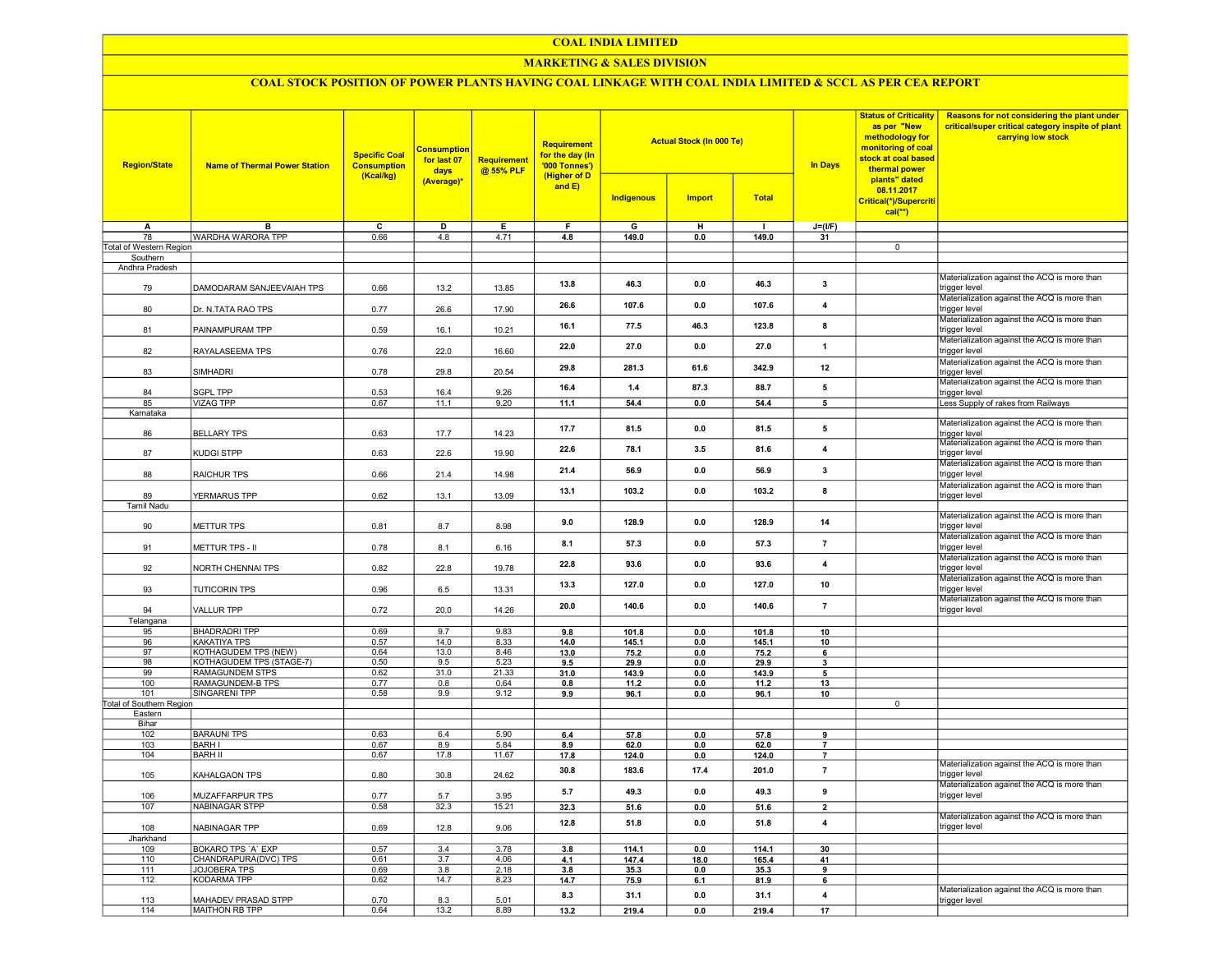#### COAL INDIA LIMITED

## MARKETING & SALES DIVISION

# COAL STOCK POSITION OF POWER PLANTS HAVING COAL LINKAGE WITH COAL INDIA LIMITED & SCCL AS PER CEA REPORT

| <b>Region/State</b>      | <b>Name of Thermal Power Station</b>  | <b>Specific Coal</b><br><b>Consumption</b><br>(Kcal/kg) | <b>Consumption</b><br>for last 07<br>days | Requirement<br>@ 55% PLF | Requirement<br>for the day (In<br>'000 Tonnes')<br>(Higher of D<br>and $E$ ) |               | <b>Actual Stock (In 000 Te)</b> |               | <b>In Days</b>          | <b>Status of Criticality</b><br>as per "New<br>methodology for<br>monitoring of coal<br>stock at coal based<br>thermal power<br>plants" dated<br>08.11.2017<br>Critical(*)/Supercriti<br>$cal(**)$ | Reasons for not considering the plant under<br>critical/super critical category inspite of plant<br>carrying low stock |
|--------------------------|---------------------------------------|---------------------------------------------------------|-------------------------------------------|--------------------------|------------------------------------------------------------------------------|---------------|---------------------------------|---------------|-------------------------|----------------------------------------------------------------------------------------------------------------------------------------------------------------------------------------------------|------------------------------------------------------------------------------------------------------------------------|
|                          |                                       |                                                         | <mark>(Average)</mark> *                  |                          |                                                                              | Indigenous    | <b>Import</b>                   | <b>Total</b>  |                         |                                                                                                                                                                                                    |                                                                                                                        |
| Α                        | в                                     | $\overline{c}$                                          | $\overline{\mathsf{D}}$                   | Ε                        | F                                                                            | G             | н                               | $\mathbf{I}$  | $J=(I/F)$               |                                                                                                                                                                                                    |                                                                                                                        |
| 78                       | WARDHA WARORA TPP                     | 0.66                                                    | 4.8                                       | 4.71                     | 4.8                                                                          | 149.0         | 0.0                             | 149.0         | 31                      |                                                                                                                                                                                                    |                                                                                                                        |
| Total of Western Region  |                                       |                                                         |                                           |                          |                                                                              |               |                                 |               |                         | $\overline{0}$                                                                                                                                                                                     |                                                                                                                        |
| Southern                 |                                       |                                                         |                                           |                          |                                                                              |               |                                 |               |                         |                                                                                                                                                                                                    |                                                                                                                        |
| Andhra Pradesh           |                                       |                                                         |                                           |                          |                                                                              |               |                                 |               |                         |                                                                                                                                                                                                    |                                                                                                                        |
| 79                       | DAMODARAM SANJEEVAIAH TPS             | 0.66                                                    | 13.2                                      | 13.85                    | 13.8                                                                         | 46.3          | 0.0                             | 46.3          | 3                       |                                                                                                                                                                                                    | Materialization against the ACQ is more than<br>trigger level                                                          |
| 80                       | Dr. N.TATA RAO TPS                    | 0.77                                                    | 26.6                                      | 17.90                    | 26.6                                                                         | 107.6         | 0.0                             | 107.6         | 4                       |                                                                                                                                                                                                    | Materialization against the ACQ is more than<br>trigger level                                                          |
| 81                       | PAINAMPURAM TPP                       | 0.59                                                    | 16.1                                      | 10.21                    | 16.1                                                                         | 77.5          | 46.3                            | 123.8         | 8                       |                                                                                                                                                                                                    | Materialization against the ACQ is more than<br>trigger level<br>Materialization against the ACQ is more than          |
| 82                       | RAYALASEEMA TPS                       | 0.76                                                    | 22.0                                      | 16.60                    | 22.0                                                                         | 27.0          | 0.0                             | 27.0          | $\mathbf{1}$            |                                                                                                                                                                                                    | trigger level<br>Materialization against the ACQ is more than                                                          |
| 83                       | <b>SIMHADRI</b>                       | 0.78                                                    | 29.8                                      | 20.54                    | 29.8                                                                         | 281.3         | 61.6                            | 342.9         | 12                      |                                                                                                                                                                                                    | trigger level<br>Materialization against the ACQ is more than                                                          |
| 84                       | <b>SGPL TPP</b>                       | 0.53                                                    | 16.4                                      | 9.26                     | 16.4                                                                         | 1.4           | 87.3                            | 88.7          | 5                       |                                                                                                                                                                                                    | trigger level                                                                                                          |
| 85                       | <b>VIZAG TPP</b>                      | 0.67                                                    | 11.1                                      | 9.20                     | 11.1                                                                         | 54.4          | 0.0                             | 54.4          | $5\phantom{.0}$         |                                                                                                                                                                                                    | Less Supply of rakes from Railways                                                                                     |
| Karnataka                |                                       |                                                         |                                           |                          |                                                                              |               |                                 |               |                         |                                                                                                                                                                                                    |                                                                                                                        |
| 86                       | <b>BELLARY TPS</b>                    | 0.63                                                    | 17.7                                      | 14.23                    | 17.7                                                                         | 81.5          | 0.0                             | 81.5          | 5                       |                                                                                                                                                                                                    | Materialization against the ACQ is more than<br>trigger level                                                          |
| 87                       | <b>KUDGI STPP</b>                     | 0.63                                                    | 22.6                                      | 19.90                    | 22.6                                                                         | 78.1          | 3.5                             | 81.6          | $\overline{4}$          |                                                                                                                                                                                                    | Materialization against the ACQ is more than<br>trigger level                                                          |
| 88                       | RAICHUR TPS                           | 0.66                                                    | 21.4                                      | 14.98                    | 21.4                                                                         | 56.9          | 0.0                             | 56.9          | 3                       |                                                                                                                                                                                                    | Materialization against the ACQ is more than<br>trigger level                                                          |
| 89                       | YERMARUS TPP                          | 0.62                                                    | 13.1                                      | 13.09                    | 13.1                                                                         | 103.2         | 0.0                             | 103.2         | 8                       |                                                                                                                                                                                                    | Materialization against the ACQ is more than<br>trigger level                                                          |
| <b>Tamil Nadu</b>        |                                       |                                                         |                                           |                          |                                                                              |               |                                 |               |                         |                                                                                                                                                                                                    |                                                                                                                        |
| 90                       | METTUR TPS                            | 0.81                                                    | 8.7                                       | 8.98                     | 9.0                                                                          | 128.9         | 0.0                             | 128.9         | 14                      |                                                                                                                                                                                                    | Materialization against the ACQ is more than<br>trigger level                                                          |
| 91                       | METTUR TPS - II                       | 0.78                                                    | 8.1                                       | 6.16                     | 8.1                                                                          | 57.3          | 0.0                             | 57.3          | $\overline{7}$          |                                                                                                                                                                                                    | Materialization against the ACQ is more than<br>trigger level                                                          |
| 92                       | NORTH CHENNAI TPS                     | 0.82                                                    | 22.8                                      | 19.78                    | 22.8                                                                         | 93.6          | 0.0                             | 93.6          | 4                       |                                                                                                                                                                                                    | Materialization against the ACQ is more than<br>trigger level                                                          |
| 93                       | <b>TUTICORIN TPS</b>                  | 0.96                                                    | 6.5                                       | 13.31                    | 13.3                                                                         | 127.0         | 0.0                             | 127.0         | 10                      |                                                                                                                                                                                                    | Materialization against the ACQ is more than<br>trigger level                                                          |
| 94                       | VALLUR TPP                            | 0.72                                                    | 20.0                                      | 14.26                    | 20.0                                                                         | 140.6         | 0.0                             | 140.6         | $\overline{7}$          |                                                                                                                                                                                                    | Materialization against the ACQ is more than<br>trigger level                                                          |
| Telangana                |                                       |                                                         |                                           |                          |                                                                              |               |                                 |               |                         |                                                                                                                                                                                                    |                                                                                                                        |
| 95                       | <b>BHADRADRI TPP</b><br>KAKATIYA TPS  | 0.69<br>0.57                                            | 9.7<br>14.0                               | 9.83                     | 9.8                                                                          | 101.8         | 0.0                             | 101.8         | 10                      |                                                                                                                                                                                                    |                                                                                                                        |
| 96<br>97                 | KOTHAGUDEM TPS (NEW)                  | 0.64                                                    | 13.0                                      | 8.33<br>8.46             | 14.0                                                                         | 145.1         | 0.0                             | 145.1         | 10                      |                                                                                                                                                                                                    |                                                                                                                        |
| 98                       | KOTHAGUDEM TPS (STAGE-7)              | 0.50                                                    | 9.5                                       | 5.23                     | 13.0<br>9.5                                                                  | 75.2<br>29.9  | 0.0<br>0.0                      | 75.2<br>29.9  | 6<br>3                  |                                                                                                                                                                                                    |                                                                                                                        |
| 99                       | <b>RAMAGUNDEM STPS</b>                | 0.62                                                    | 31.0                                      | 21.33                    | 31.0                                                                         | 143.9         | 0.0                             | 143.9         | 5                       |                                                                                                                                                                                                    |                                                                                                                        |
| 100                      | RAMAGUNDEM-B TPS                      | 0.77                                                    | 0.8                                       | 0.64                     | 0.8                                                                          | 11.2          | 0.0                             | 11.2          | 13                      |                                                                                                                                                                                                    |                                                                                                                        |
| 101                      | <b>SINGARENI TPP</b>                  | 0.58                                                    | 9.9                                       | 9.12                     | 9.9                                                                          | 96.1          | 0.0                             | 96.1          | 10                      |                                                                                                                                                                                                    |                                                                                                                        |
| Total of Southern Region |                                       |                                                         |                                           |                          |                                                                              |               |                                 |               |                         | $\mathbf 0$                                                                                                                                                                                        |                                                                                                                        |
| Eastern                  |                                       |                                                         |                                           |                          |                                                                              |               |                                 |               |                         |                                                                                                                                                                                                    |                                                                                                                        |
| Bihar                    |                                       |                                                         |                                           |                          |                                                                              |               |                                 |               |                         |                                                                                                                                                                                                    |                                                                                                                        |
| 102                      | <b>BARAUNI TPS</b>                    | 0.63                                                    | 6.4                                       | 5.90                     | 6.4                                                                          | 57.8          | 0.0                             | 57.8          | 9                       |                                                                                                                                                                                                    |                                                                                                                        |
| 103                      | <b>BARH I</b>                         | 0.67                                                    | 8.9                                       | 5.84                     | 8.9                                                                          | 62.0          | 0.0                             | 62.0          | $\overline{7}$          |                                                                                                                                                                                                    |                                                                                                                        |
| 104                      | <b>BARH II</b>                        | 0.67                                                    | 17.8                                      | 11.67                    | 17.8                                                                         | 124.0         | 0.0                             | 124.0         | $\overline{7}$          |                                                                                                                                                                                                    |                                                                                                                        |
| 105                      | KAHALGAON TPS                         | 0.80                                                    | 30.8                                      | 24.62                    | 30.8                                                                         | 183.6         | 17.4                            | 201.0         | $\overline{\mathbf{r}}$ |                                                                                                                                                                                                    | Materialization against the ACQ is more than<br>trigger level                                                          |
| 106                      | MUZAFFARPUR TPS                       | 0.77                                                    | 5.7                                       | 3.95                     | 5.7                                                                          | 49.3          | 0.0                             | 49.3          | 9                       |                                                                                                                                                                                                    | Materialization against the ACQ is more than<br>trigger level                                                          |
| 107                      | <b>NABINAGAR STPP</b>                 | 0.58                                                    | 32.3                                      | 15.21                    | 32.3                                                                         | 51.6          | 0.0                             | 51.6          | $\overline{2}$          |                                                                                                                                                                                                    |                                                                                                                        |
| 108                      | NABINAGAR TPP                         | 0.69                                                    | 12.8                                      | 9.06                     | 12.8                                                                         | 51.8          | 0.0                             | 51.8          | 4                       |                                                                                                                                                                                                    | Materialization against the ACQ is more than<br>trigger level                                                          |
| Jharkhand                |                                       |                                                         |                                           |                          |                                                                              |               |                                 |               |                         |                                                                                                                                                                                                    |                                                                                                                        |
| 109                      | <b>BOKARO TPS 'A' EXP</b>             | 0.57                                                    | 3.4                                       | 3.78                     | 3.8                                                                          | 114.1         | 0.0                             | 114.1         | 30                      |                                                                                                                                                                                                    |                                                                                                                        |
| 110                      | CHANDRAPURA(DVC) TPS                  | 0.61                                                    | 3.7                                       | 4.06                     | 4.1                                                                          | 147.4         | 18.0                            | 165.4         | 41                      |                                                                                                                                                                                                    |                                                                                                                        |
| 111                      | JOJOBERA TPS                          | 0.69                                                    | 3.8                                       | 2.18                     | 3.8                                                                          | 35.3          | 0.0                             | 35.3          | 9                       |                                                                                                                                                                                                    |                                                                                                                        |
| 112                      | <b>KODARMA TPP</b>                    | 0.62                                                    | 14.7                                      | 8.23                     | 14.7                                                                         | 75.9          | 6.1                             | 81.9          | 6                       |                                                                                                                                                                                                    | Materialization against the ACQ is more than                                                                           |
| 113<br>114               | MAHADEV PRASAD STPP<br>MAITHON RB TPP | 0.70<br>0.64                                            | 8.3<br>13.2                               | 5.01<br>8.89             | 8.3<br>13.2                                                                  | 31.1<br>219.4 | 0.0<br>0.0                      | 31.1<br>219.4 | 4<br>17                 |                                                                                                                                                                                                    | trigger level                                                                                                          |
|                          |                                       |                                                         |                                           |                          |                                                                              |               |                                 |               |                         |                                                                                                                                                                                                    |                                                                                                                        |